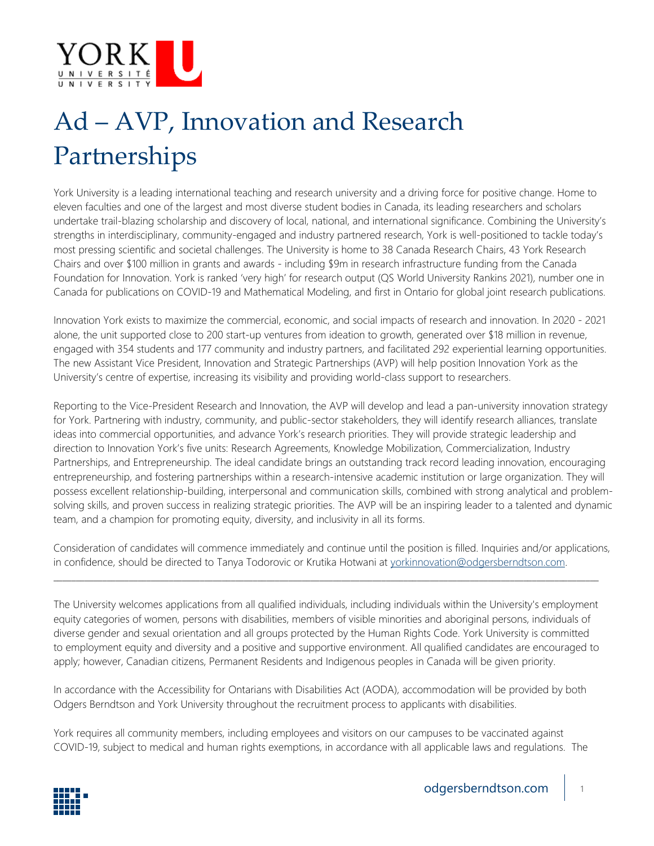

## Ad – AVP, Innovation and Research Partnerships

York University is a leading international teaching and research university and a driving force for positive change. Home to eleven faculties and one of the largest and most diverse student bodies in Canada, its leading researchers and scholars undertake trail-blazing scholarship and discovery of local, national, and international significance. Combining the University's strengths in interdisciplinary, community-engaged and industry partnered research, York is well-positioned to tackle today's most pressing scientific and societal challenges. The University is home to 38 Canada Research Chairs, 43 York Research Chairs and over \$100 million in grants and awards - including \$9m in research infrastructure funding from the Canada Foundation for Innovation. York is ranked 'very high' for research output (QS World University Rankins 2021), number one in Canada for publications on COVID-19 and Mathematical Modeling, and first in Ontario for global joint research publications.

Innovation York exists to maximize the commercial, economic, and social impacts of research and innovation. In 2020 - 2021 alone, the unit supported close to 200 start-up ventures from ideation to growth, generated over \$18 million in revenue, engaged with 354 students and 177 community and industry partners, and facilitated 292 experiential learning opportunities. The new Assistant Vice President, Innovation and Strategic Partnerships (AVP) will help position Innovation York as the University's centre of expertise, increasing its visibility and providing world-class support to researchers.

Reporting to the Vice-President Research and Innovation, the AVP will develop and lead a pan-university innovation strategy for York. Partnering with industry, community, and public-sector stakeholders, they will identify research alliances, translate ideas into commercial opportunities, and advance York's research priorities. They will provide strategic leadership and direction to Innovation York's five units: Research Agreements, Knowledge Mobilization, Commercialization, Industry Partnerships, and Entrepreneurship. The ideal candidate brings an outstanding track record leading innovation, encouraging entrepreneurship, and fostering partnerships within a research-intensive academic institution or large organization. They will possess excellent relationship-building, interpersonal and communication skills, combined with strong analytical and problemsolving skills, and proven success in realizing strategic priorities. The AVP will be an inspiring leader to a talented and dynamic team, and a champion for promoting equity, diversity, and inclusivity in all its forms.

Consideration of candidates will commence immediately and continue until the position is filled. Inquiries and/or applications, in confidence, should be directed to Tanya Todorovic or Krutika Hotwani at [yorkinnovation@odgersberndtson.com.](mailto:yorkinnovation@odgersberndtson.com)

\_\_\_\_\_\_\_\_\_\_\_\_\_\_\_\_\_\_\_\_\_\_\_\_\_\_\_\_\_\_\_\_\_\_\_\_\_\_\_\_\_\_\_\_\_\_\_\_\_\_\_\_\_\_\_\_\_\_\_\_\_\_\_\_\_\_\_\_\_\_\_\_\_\_\_\_\_\_\_\_\_\_\_\_\_\_\_\_\_\_\_\_\_\_\_\_\_\_\_\_\_\_\_\_\_\_\_\_\_\_\_\_\_\_\_\_\_\_\_\_\_\_\_

The University welcomes applications from all qualified individuals, including individuals within the University's employment equity categories of women, persons with disabilities, members of visible minorities and aboriginal persons, individuals of diverse gender and sexual orientation and all groups protected by the Human Rights Code. York University is committed to employment equity and diversity and a positive and supportive environment. All qualified candidates are encouraged to apply; however, Canadian citizens, Permanent Residents and Indigenous peoples in Canada will be given priority.

In accordance with the Accessibility for Ontarians with Disabilities Act (AODA), accommodation will be provided by both Odgers Berndtson and York University throughout the recruitment process to applicants with disabilities.

York requires all community members, including employees and visitors on our campuses to be vaccinated against COVID-19, subject to medical and human rights exemptions, in accordance with all applicable laws and regulations. The